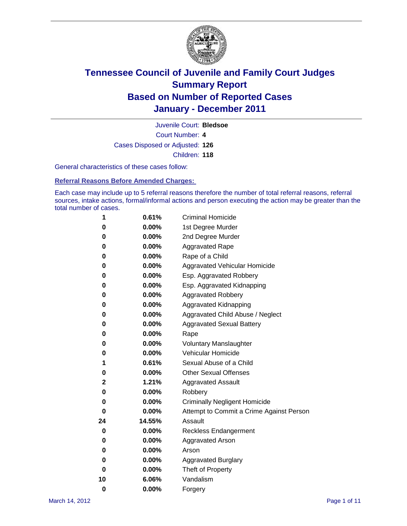

Court Number: **4** Juvenile Court: **Bledsoe** Cases Disposed or Adjusted: **126** Children: **118**

General characteristics of these cases follow:

**Referral Reasons Before Amended Charges:** 

Each case may include up to 5 referral reasons therefore the number of total referral reasons, referral sources, intake actions, formal/informal actions and person executing the action may be greater than the total number of cases.

| 1  | 0.61%    | <b>Criminal Homicide</b>                 |  |  |  |  |
|----|----------|------------------------------------------|--|--|--|--|
| 0  | 0.00%    | 1st Degree Murder                        |  |  |  |  |
| 0  | 0.00%    | 2nd Degree Murder                        |  |  |  |  |
| 0  | 0.00%    | <b>Aggravated Rape</b>                   |  |  |  |  |
| 0  | 0.00%    | Rape of a Child                          |  |  |  |  |
| 0  | 0.00%    | Aggravated Vehicular Homicide            |  |  |  |  |
| 0  | 0.00%    | Esp. Aggravated Robbery                  |  |  |  |  |
| 0  | 0.00%    | Esp. Aggravated Kidnapping               |  |  |  |  |
| 0  | 0.00%    | <b>Aggravated Robbery</b>                |  |  |  |  |
| 0  | 0.00%    | Aggravated Kidnapping                    |  |  |  |  |
| 0  | 0.00%    | Aggravated Child Abuse / Neglect         |  |  |  |  |
| 0  | $0.00\%$ | <b>Aggravated Sexual Battery</b>         |  |  |  |  |
| 0  | 0.00%    | Rape                                     |  |  |  |  |
| 0  | $0.00\%$ | <b>Voluntary Manslaughter</b>            |  |  |  |  |
| 0  | 0.00%    | Vehicular Homicide                       |  |  |  |  |
| 1  | 0.61%    | Sexual Abuse of a Child                  |  |  |  |  |
| 0  | 0.00%    | <b>Other Sexual Offenses</b>             |  |  |  |  |
| 2  | 1.21%    | <b>Aggravated Assault</b>                |  |  |  |  |
| 0  | 0.00%    | Robbery                                  |  |  |  |  |
| 0  | 0.00%    | <b>Criminally Negligent Homicide</b>     |  |  |  |  |
| 0  | 0.00%    | Attempt to Commit a Crime Against Person |  |  |  |  |
| 24 | 14.55%   | Assault                                  |  |  |  |  |
| 0  | 0.00%    | <b>Reckless Endangerment</b>             |  |  |  |  |
| 0  | 0.00%    | <b>Aggravated Arson</b>                  |  |  |  |  |
| 0  | 0.00%    | Arson                                    |  |  |  |  |
| 0  | 0.00%    | <b>Aggravated Burglary</b>               |  |  |  |  |
| 0  | 0.00%    | Theft of Property                        |  |  |  |  |
| 10 | 6.06%    | Vandalism                                |  |  |  |  |
| 0  | 0.00%    | Forgery                                  |  |  |  |  |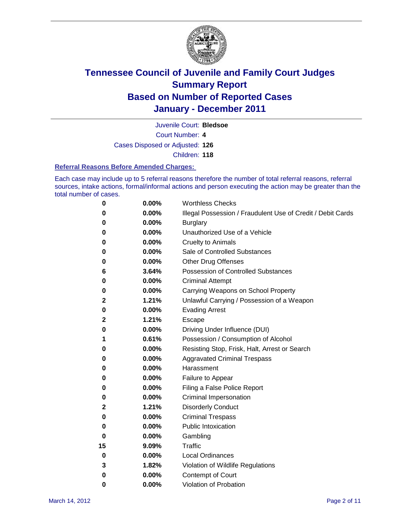

Juvenile Court: **Bledsoe**

Court Number: **4**

Cases Disposed or Adjusted: **126**

Children: **118**

#### **Referral Reasons Before Amended Charges:**

Each case may include up to 5 referral reasons therefore the number of total referral reasons, referral sources, intake actions, formal/informal actions and person executing the action may be greater than the total number of cases.

| 0  | 0.00% | <b>Worthless Checks</b>                                     |
|----|-------|-------------------------------------------------------------|
| 0  | 0.00% | Illegal Possession / Fraudulent Use of Credit / Debit Cards |
| 0  | 0.00% | <b>Burglary</b>                                             |
| 0  | 0.00% | Unauthorized Use of a Vehicle                               |
| 0  | 0.00% | <b>Cruelty to Animals</b>                                   |
| 0  | 0.00% | Sale of Controlled Substances                               |
| 0  | 0.00% | <b>Other Drug Offenses</b>                                  |
| 6  | 3.64% | <b>Possession of Controlled Substances</b>                  |
| 0  | 0.00% | <b>Criminal Attempt</b>                                     |
| 0  | 0.00% | Carrying Weapons on School Property                         |
| 2  | 1.21% | Unlawful Carrying / Possession of a Weapon                  |
| 0  | 0.00% | <b>Evading Arrest</b>                                       |
| 2  | 1.21% | Escape                                                      |
| 0  | 0.00% | Driving Under Influence (DUI)                               |
| 1  | 0.61% | Possession / Consumption of Alcohol                         |
| 0  | 0.00% | Resisting Stop, Frisk, Halt, Arrest or Search               |
| 0  | 0.00% | <b>Aggravated Criminal Trespass</b>                         |
| 0  | 0.00% | Harassment                                                  |
| 0  | 0.00% | Failure to Appear                                           |
| 0  | 0.00% | Filing a False Police Report                                |
| 0  | 0.00% | Criminal Impersonation                                      |
| 2  | 1.21% | <b>Disorderly Conduct</b>                                   |
| 0  | 0.00% | <b>Criminal Trespass</b>                                    |
| 0  | 0.00% | <b>Public Intoxication</b>                                  |
| 0  | 0.00% | Gambling                                                    |
| 15 | 9.09% | <b>Traffic</b>                                              |
| 0  | 0.00% | <b>Local Ordinances</b>                                     |
| 3  | 1.82% | Violation of Wildlife Regulations                           |
| 0  | 0.00% | Contempt of Court                                           |
| 0  | 0.00% | Violation of Probation                                      |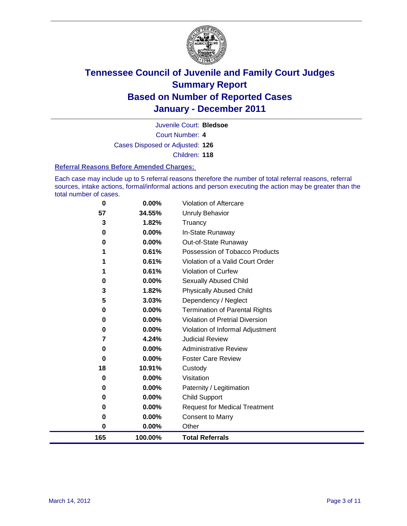

Juvenile Court: **Bledsoe**

Court Number: **4**

Cases Disposed or Adjusted: **126**

Children: **118**

#### **Referral Reasons Before Amended Charges:**

Each case may include up to 5 referral reasons therefore the number of total referral reasons, referral sources, intake actions, formal/informal actions and person executing the action may be greater than the total number of cases.

| 0        | 0.00%   | Violation of Aftercare                 |
|----------|---------|----------------------------------------|
| 57       | 34.55%  | <b>Unruly Behavior</b>                 |
| 3        | 1.82%   | Truancy                                |
| $\bf{0}$ | 0.00%   | In-State Runaway                       |
| 0        | 0.00%   | Out-of-State Runaway                   |
|          | 0.61%   | Possession of Tobacco Products         |
|          | 0.61%   | Violation of a Valid Court Order       |
| 1        | 0.61%   | Violation of Curfew                    |
| 0        | 0.00%   | Sexually Abused Child                  |
| 3        | 1.82%   | <b>Physically Abused Child</b>         |
| 5        | 3.03%   | Dependency / Neglect                   |
| 0        | 0.00%   | <b>Termination of Parental Rights</b>  |
| 0        | 0.00%   | <b>Violation of Pretrial Diversion</b> |
| 0        | 0.00%   | Violation of Informal Adjustment       |
| 7        | 4.24%   | <b>Judicial Review</b>                 |
| 0        | 0.00%   | <b>Administrative Review</b>           |
| 0        | 0.00%   | <b>Foster Care Review</b>              |
| 18       | 10.91%  | Custody                                |
| 0        | 0.00%   | Visitation                             |
| 0        | 0.00%   | Paternity / Legitimation               |
| 0        | 0.00%   | <b>Child Support</b>                   |
| 0        | 0.00%   | <b>Request for Medical Treatment</b>   |
| 0        | 0.00%   | <b>Consent to Marry</b>                |
| 0        | 0.00%   | Other                                  |
| 165      | 100.00% | <b>Total Referrals</b>                 |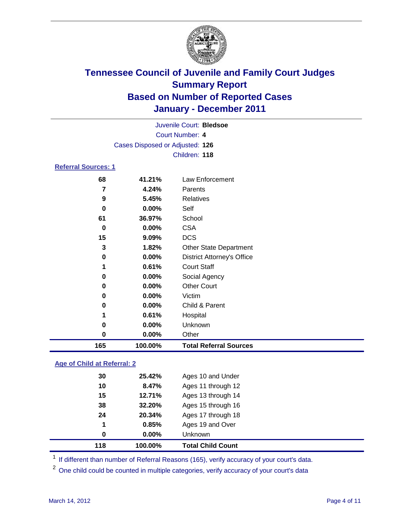

|                     |                                 | Juvenile Court: Bledsoe           |
|---------------------|---------------------------------|-----------------------------------|
|                     |                                 | Court Number: 4                   |
|                     | Cases Disposed or Adjusted: 126 |                                   |
|                     |                                 | Children: 118                     |
| Referral Sources: 1 |                                 |                                   |
| 68                  | 41.21%                          | <b>Law Enforcement</b>            |
| 7                   | 4.24%                           | Parents                           |
| 9                   | 5.45%                           | Relatives                         |
| 0                   | $0.00\%$                        | Self                              |
| 61                  | 36.97%                          | School                            |
| 0                   | $0.00\%$                        | <b>CSA</b>                        |
| 15                  | $9.09\%$                        | <b>DCS</b>                        |
| 3                   | 1.82%                           | <b>Other State Department</b>     |
| 0                   | $0.00\%$                        | <b>District Attorney's Office</b> |
| 1                   | 0.61%                           | <b>Court Staff</b>                |
| 0                   | 0.00%                           | Social Agency                     |
| 0                   | $0.00\%$                        | <b>Other Court</b>                |
| 0                   | 0.00%                           | Victim                            |
| 0                   | 0.00%                           | Child & Parent                    |
| 1                   | 0.61%                           | Hospital                          |
| 0                   | $0.00\%$                        | Unknown                           |
| 0                   | 0.00%                           | Other                             |

### **Age of Child at Referral: 2**

| 1<br>0 | 0.85%<br>$0.00\%$ | Ages 19 and Over<br>Unknown |  |
|--------|-------------------|-----------------------------|--|
|        |                   |                             |  |
|        |                   |                             |  |
| 24     | 20.34%            | Ages 17 through 18          |  |
| 38     | 32.20%            | Ages 15 through 16          |  |
| 15     | 12.71%            | Ages 13 through 14          |  |
| 10     | 8.47%             | Ages 11 through 12          |  |
| 30     | 25.42%            | Ages 10 and Under           |  |
|        |                   |                             |  |

<sup>1</sup> If different than number of Referral Reasons (165), verify accuracy of your court's data.

**100.00% Total Referral Sources**

<sup>2</sup> One child could be counted in multiple categories, verify accuracy of your court's data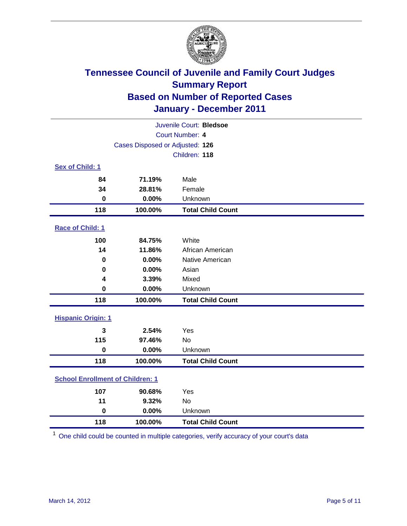

| Juvenile Court: Bledsoe                 |                                 |                          |  |  |
|-----------------------------------------|---------------------------------|--------------------------|--|--|
| Court Number: 4                         |                                 |                          |  |  |
|                                         | Cases Disposed or Adjusted: 126 |                          |  |  |
|                                         |                                 | Children: 118            |  |  |
| Sex of Child: 1                         |                                 |                          |  |  |
| 84                                      | 71.19%                          | Male                     |  |  |
| 34                                      | 28.81%                          | Female                   |  |  |
| $\bf{0}$                                | 0.00%                           | Unknown                  |  |  |
| 118                                     | 100.00%                         | <b>Total Child Count</b> |  |  |
| Race of Child: 1                        |                                 |                          |  |  |
| 100                                     | 84.75%                          | White                    |  |  |
| 14                                      | 11.86%                          | African American         |  |  |
| 0                                       | 0.00%                           | Native American          |  |  |
| 0                                       | 0.00%                           | Asian                    |  |  |
| 4                                       | 3.39%                           | Mixed                    |  |  |
| $\pmb{0}$                               | 0.00%                           | Unknown                  |  |  |
| 118                                     | 100.00%                         | <b>Total Child Count</b> |  |  |
| <b>Hispanic Origin: 1</b>               |                                 |                          |  |  |
| 3                                       | 2.54%                           | Yes                      |  |  |
| 115                                     | 97.46%                          | <b>No</b>                |  |  |
| $\mathbf 0$                             | 0.00%                           | Unknown                  |  |  |
| 118                                     | 100.00%                         | <b>Total Child Count</b> |  |  |
| <b>School Enrollment of Children: 1</b> |                                 |                          |  |  |
| 107                                     | 90.68%                          | Yes                      |  |  |
| 11                                      | 9.32%                           | No                       |  |  |
| $\mathbf 0$                             | 0.00%                           | Unknown                  |  |  |
| 118                                     | 100.00%                         | <b>Total Child Count</b> |  |  |

One child could be counted in multiple categories, verify accuracy of your court's data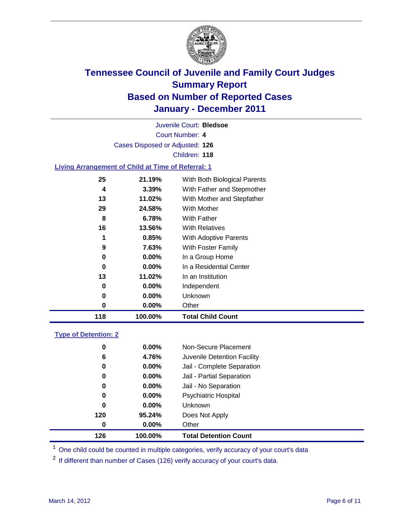

Court Number: **4** Juvenile Court: **Bledsoe** Cases Disposed or Adjusted: **126** Children: **118**

#### **Living Arrangement of Child at Time of Referral: 1**

| 118 | 100.00%  | <b>Total Child Count</b>     |
|-----|----------|------------------------------|
| 0   | $0.00\%$ | Other                        |
| 0   | $0.00\%$ | <b>Unknown</b>               |
| 0   | $0.00\%$ | Independent                  |
| 13  | 11.02%   | In an Institution            |
| 0   | $0.00\%$ | In a Residential Center      |
| 0   | $0.00\%$ | In a Group Home              |
| 9   | 7.63%    | With Foster Family           |
| 1   | 0.85%    | With Adoptive Parents        |
| 16  | 13.56%   | <b>With Relatives</b>        |
| 8   | 6.78%    | With Father                  |
| 29  | 24.58%   | With Mother                  |
| 13  | 11.02%   | With Mother and Stepfather   |
| 4   | 3.39%    | With Father and Stepmother   |
| 25  | 21.19%   | With Both Biological Parents |
|     |          |                              |

#### **Type of Detention: 2**

| 126 | 100.00%  | <b>Total Detention Count</b> |  |
|-----|----------|------------------------------|--|
| 0   | 0.00%    | Other                        |  |
| 120 | 95.24%   | Does Not Apply               |  |
| 0   | $0.00\%$ | Unknown                      |  |
| 0   | $0.00\%$ | Psychiatric Hospital         |  |
| 0   | 0.00%    | Jail - No Separation         |  |
| 0   | $0.00\%$ | Jail - Partial Separation    |  |
| 0   | 0.00%    | Jail - Complete Separation   |  |
| 6   | 4.76%    | Juvenile Detention Facility  |  |
| 0   | $0.00\%$ | Non-Secure Placement         |  |
|     |          |                              |  |

<sup>1</sup> One child could be counted in multiple categories, verify accuracy of your court's data

<sup>2</sup> If different than number of Cases (126) verify accuracy of your court's data.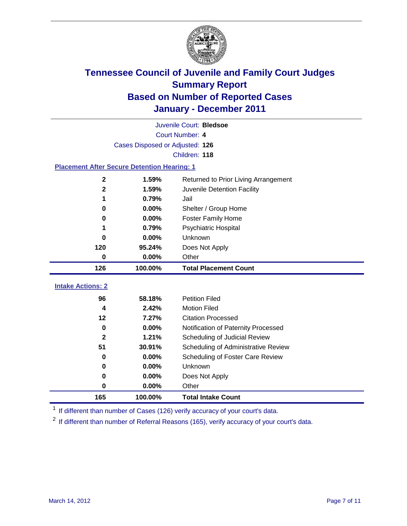

| Juvenile Court: Bledsoe                            |                                 |                                      |  |  |  |
|----------------------------------------------------|---------------------------------|--------------------------------------|--|--|--|
|                                                    | Court Number: 4                 |                                      |  |  |  |
|                                                    | Cases Disposed or Adjusted: 126 |                                      |  |  |  |
|                                                    | Children: 118                   |                                      |  |  |  |
| <b>Placement After Secure Detention Hearing: 1</b> |                                 |                                      |  |  |  |
| $\mathbf 2$                                        | 1.59%                           | Returned to Prior Living Arrangement |  |  |  |
| $\mathbf{2}$                                       | 1.59%                           | Juvenile Detention Facility          |  |  |  |
| 1                                                  | 0.79%                           | Jail                                 |  |  |  |
| 0                                                  | 0.00%                           | Shelter / Group Home                 |  |  |  |
| 0                                                  | 0.00%                           | <b>Foster Family Home</b>            |  |  |  |
| 1                                                  | 0.79%                           | Psychiatric Hospital                 |  |  |  |
| 0                                                  | 0.00%                           | Unknown                              |  |  |  |
| 120                                                | 95.24%                          | Does Not Apply                       |  |  |  |
| $\mathbf 0$                                        | $0.00\%$                        | Other                                |  |  |  |
| 126                                                | 100.00%                         | <b>Total Placement Count</b>         |  |  |  |
|                                                    |                                 |                                      |  |  |  |
| <b>Intake Actions: 2</b>                           |                                 |                                      |  |  |  |
| 96                                                 | 58.18%                          | <b>Petition Filed</b>                |  |  |  |
| 4                                                  | 2.42%                           | <b>Motion Filed</b>                  |  |  |  |
| 12                                                 | 7.27%                           | <b>Citation Processed</b>            |  |  |  |
| 0                                                  | 0.00%                           | Notification of Paternity Processed  |  |  |  |
| $\overline{2}$                                     | 1.21%                           | Scheduling of Judicial Review        |  |  |  |
| 51                                                 | 30.91%                          | Scheduling of Administrative Review  |  |  |  |
| 0                                                  | $0.00\%$                        | Scheduling of Foster Care Review     |  |  |  |
| $\bf{0}$                                           | 0.00%                           | Unknown                              |  |  |  |
| 0                                                  | 0.00%                           | Does Not Apply                       |  |  |  |
| 0                                                  | 0.00%                           | Other                                |  |  |  |

<sup>1</sup> If different than number of Cases (126) verify accuracy of your court's data.

<sup>2</sup> If different than number of Referral Reasons (165), verify accuracy of your court's data.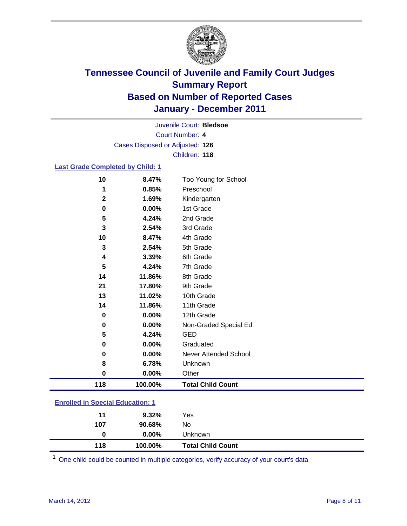

Court Number: **4** Juvenile Court: **Bledsoe** Cases Disposed or Adjusted: **126** Children: **118**

#### **Last Grade Completed by Child: 1**

| 10                                      | 8.47%   | Too Young for School         |  |
|-----------------------------------------|---------|------------------------------|--|
| 1                                       | 0.85%   | Preschool                    |  |
| $\mathbf{2}$                            | 1.69%   | Kindergarten                 |  |
| 0                                       | 0.00%   | 1st Grade                    |  |
| 5                                       | 4.24%   | 2nd Grade                    |  |
| 3                                       | 2.54%   | 3rd Grade                    |  |
| 10                                      | 8.47%   | 4th Grade                    |  |
| 3                                       | 2.54%   | 5th Grade                    |  |
| 4                                       | 3.39%   | 6th Grade                    |  |
| 5                                       | 4.24%   | 7th Grade                    |  |
| 14                                      | 11.86%  | 8th Grade                    |  |
| 21                                      | 17.80%  | 9th Grade                    |  |
| 13                                      | 11.02%  | 10th Grade                   |  |
| 14                                      | 11.86%  | 11th Grade                   |  |
| $\bf{0}$                                | 0.00%   | 12th Grade                   |  |
| 0                                       | 0.00%   | Non-Graded Special Ed        |  |
| 5                                       | 4.24%   | <b>GED</b>                   |  |
| 0                                       | 0.00%   | Graduated                    |  |
| 0                                       | 0.00%   | <b>Never Attended School</b> |  |
| 8                                       | 6.78%   | Unknown                      |  |
| $\pmb{0}$                               | 0.00%   | Other                        |  |
| 118                                     | 100.00% | <b>Total Child Count</b>     |  |
| <b>Enrolled in Special Education: 1</b> |         |                              |  |

| 118 | 100.00%  | <b>Total Child Count</b> |  |  |
|-----|----------|--------------------------|--|--|
| 0   | $0.00\%$ | Unknown                  |  |  |
| 107 | 90.68%   | No                       |  |  |
| 11  | 9.32%    | Yes                      |  |  |
|     |          |                          |  |  |

One child could be counted in multiple categories, verify accuracy of your court's data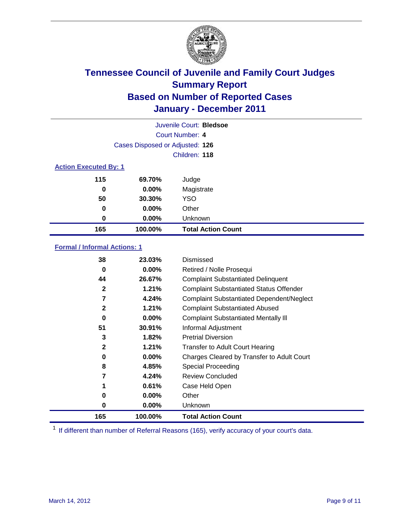

| Juvenile Court: Bledsoe      |                                 |                           |  |  |  |
|------------------------------|---------------------------------|---------------------------|--|--|--|
|                              | Court Number: 4                 |                           |  |  |  |
|                              | Cases Disposed or Adjusted: 126 |                           |  |  |  |
| Children: 118                |                                 |                           |  |  |  |
| <b>Action Executed By: 1</b> |                                 |                           |  |  |  |
| 115                          | 69.70%                          | Judge                     |  |  |  |
| 0                            | $0.00\%$                        | Magistrate                |  |  |  |
| 50                           | 30.30%                          | <b>YSO</b>                |  |  |  |
| 0                            | $0.00\%$                        | Other                     |  |  |  |
| 0                            | 0.00%                           | Unknown                   |  |  |  |
| 165                          | 100.00%                         | <b>Total Action Count</b> |  |  |  |

### **Formal / Informal Actions: 1**

| 38           | 23.03%   | Dismissed                                        |
|--------------|----------|--------------------------------------------------|
| 0            | $0.00\%$ | Retired / Nolle Prosequi                         |
| 44           | 26.67%   | <b>Complaint Substantiated Delinquent</b>        |
| $\mathbf{2}$ | 1.21%    | <b>Complaint Substantiated Status Offender</b>   |
| 7            | 4.24%    | <b>Complaint Substantiated Dependent/Neglect</b> |
| 2            | 1.21%    | <b>Complaint Substantiated Abused</b>            |
| 0            | $0.00\%$ | <b>Complaint Substantiated Mentally III</b>      |
| 51           | 30.91%   | Informal Adjustment                              |
| 3            | 1.82%    | <b>Pretrial Diversion</b>                        |
| $\mathbf{2}$ | 1.21%    | <b>Transfer to Adult Court Hearing</b>           |
| 0            | $0.00\%$ | Charges Cleared by Transfer to Adult Court       |
| 8            | 4.85%    | <b>Special Proceeding</b>                        |
| 7            | 4.24%    | <b>Review Concluded</b>                          |
|              | 0.61%    | Case Held Open                                   |
| 0            | $0.00\%$ | Other                                            |
| 0            | $0.00\%$ | <b>Unknown</b>                                   |
| 165          | 100.00%  | <b>Total Action Count</b>                        |

<sup>1</sup> If different than number of Referral Reasons (165), verify accuracy of your court's data.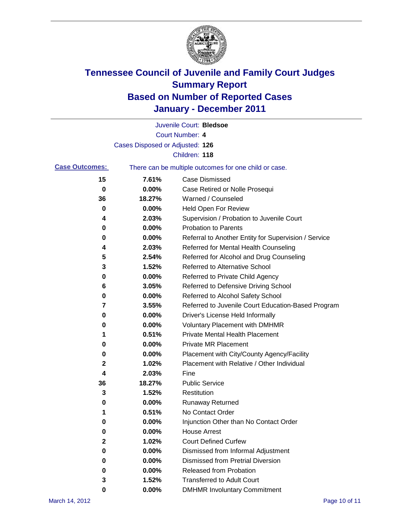

|                       |                                 | Juvenile Court: Bledsoe                               |
|-----------------------|---------------------------------|-------------------------------------------------------|
|                       |                                 | <b>Court Number: 4</b>                                |
|                       | Cases Disposed or Adjusted: 126 |                                                       |
|                       |                                 | Children: 118                                         |
| <b>Case Outcomes:</b> |                                 | There can be multiple outcomes for one child or case. |
| 15                    | 7.61%                           | <b>Case Dismissed</b>                                 |
| 0                     | 0.00%                           | Case Retired or Nolle Prosequi                        |
| 36                    | 18.27%                          | Warned / Counseled                                    |
| 0                     | 0.00%                           | Held Open For Review                                  |
| 4                     | 2.03%                           | Supervision / Probation to Juvenile Court             |
| 0                     | 0.00%                           | <b>Probation to Parents</b>                           |
| 0                     | 0.00%                           | Referral to Another Entity for Supervision / Service  |
| 4                     | 2.03%                           | Referred for Mental Health Counseling                 |
| 5                     | 2.54%                           | Referred for Alcohol and Drug Counseling              |
| 3                     | 1.52%                           | <b>Referred to Alternative School</b>                 |
| 0                     | 0.00%                           | Referred to Private Child Agency                      |
| 6                     | 3.05%                           | Referred to Defensive Driving School                  |
| 0                     | 0.00%                           | Referred to Alcohol Safety School                     |
| 7                     | 3.55%                           | Referred to Juvenile Court Education-Based Program    |
| 0                     | 0.00%                           | Driver's License Held Informally                      |
| 0                     | 0.00%                           | <b>Voluntary Placement with DMHMR</b>                 |
| 1                     | 0.51%                           | Private Mental Health Placement                       |
| 0                     | 0.00%                           | <b>Private MR Placement</b>                           |
| 0                     | 0.00%                           | Placement with City/County Agency/Facility            |
| 2                     | 1.02%                           | Placement with Relative / Other Individual            |
| 4                     | 2.03%                           | Fine                                                  |
| 36                    | 18.27%                          | <b>Public Service</b>                                 |
| 3                     | 1.52%                           | Restitution                                           |
| 0                     | 0.00%                           | <b>Runaway Returned</b>                               |
| 1                     | 0.51%                           | No Contact Order                                      |
| 0                     | 0.00%                           | Injunction Other than No Contact Order                |
| 0                     | 0.00%                           | <b>House Arrest</b>                                   |
| 2                     | 1.02%                           | <b>Court Defined Curfew</b>                           |
| 0                     | 0.00%                           | Dismissed from Informal Adjustment                    |
| 0                     | $0.00\%$                        | <b>Dismissed from Pretrial Diversion</b>              |
| 0                     | 0.00%                           | Released from Probation                               |
| 3                     | 1.52%                           | <b>Transferred to Adult Court</b>                     |
| 0                     | $0.00\%$                        | <b>DMHMR Involuntary Commitment</b>                   |